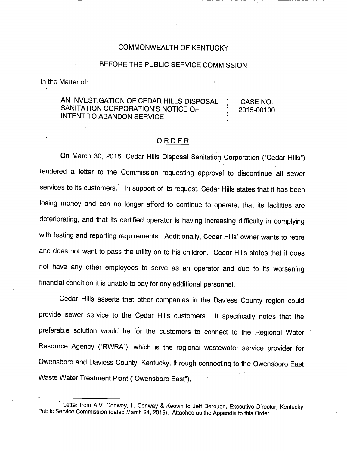## COMMONWEALTH OF KENTUCKY

### BEFORE THE PUBLIC SERVICE COMMISSION

In the Matter of:

#### AN INVESTIGATION OF CEDAR HILLS DISPOSAL ) SANITATION CORPORATION'S NOTICE OF INTENT TO ABANDON SERVICE CASE NO. 2015-00100

#### ORDER

On March 30, 2015, Cedar Hills Disposal Sanitation Corporation ("Cedar Hills") tendered a letter to the Commission requesting approval to discontinue all sewer services to its customers.<sup>1</sup> In support of its request, Cedar Hills states that it has been losing money and can no longer afford to continue to operate, that its facilities are deteriorating, and that its certified operator is having increasing difficulty in complying with testing and reporting requirements. Additionally, Cedar Hills' owner wants to retire and does not want to pass the utility on to his children. Cedar Hills states that it does not have any other employees to serve as an operator and due to its worsening financial condition it is unable to pay for any additional personnel.

Cedar Hills asserts that other companies in the Daviess County region could provide sewer service to the Cedar Hills customers. It specifically notes that the preferable solution would be for the customers to connect to the Regional Water Resource Agency ("RWRA"), which is the regional wastewater service provider for Owensboro and Daviess Courity, Kentucky, through connecting to the Owensboro East Waste Water Treatment Plant ("Owensboro East").

<sup>&</sup>lt;sup>1</sup> Letter from A.V. Conway, II, Conway & Keown to Jeff Derouen, Executive Director, Kentucky Public. Service Commission (dated March 24, 2015). Attached as the Appendix to this Order.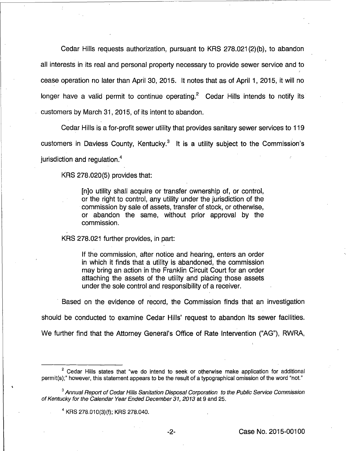Cedar Hills requests authorization, pursuant to KRS 278.021 (2)(b), to abandon all interests in its real and personal property necessary to provide sewer service and to cease operation no later than April 30, 2015. It notes that as of April 1, 2015, it will no longer have a valid permit to continue operating.<sup>2</sup> Cedar Hills intends to notify its customers by March 31, 2015, of its intent to abandon.

Cedar Hills is a for-profit sewer utility that provides sanitary sewer services to 119 customers in Daviess County, Kentucky.<sup>3</sup> It is a utility subject to the Commission's jurisdiction and regulation.<sup>4</sup>

KRS 278.020(5) provides that:

[n]o utility shall acquire or transfer ownership of, or control, or the right to control, any utility under the jurisdiction of the commission by sale of assets, transfer of stock, or otherwise, or abandon the same, without prior approval by the commission.

KRS 278.021 further provides, in part:

If the commission, after notice and hearing, enters an order in which it finds that a utility is abandoned, the commission may bring an action in the Franklin Circuit Court for an order attaching the assets of the utility and placing those assets under the sole control and responsibility of a receiver.

Based on the evidence of record, the Commission finds that an investigation

should be conducted to examine Cedar Hills' request to abandon its sewer facilities.

We further find that the Attorney General's Office of Rate Intervention ("AG"), RWRA,

4 KRS 278.010(3)(f); KRS 278.040.

 $2$  Cedar Hills states that "we do intend to seek or otherwise make application for additional permit(s);" however, this statement appears to be the result of a typographical omission of the word "not."

<sup>&</sup>lt;sup>3</sup> Annual Report of Cedar Hills Sanitation Disposal Corporation to the Public Service Commission of Kentucky for the Calendar Year Ended December 31, 2013 at 9 and 25.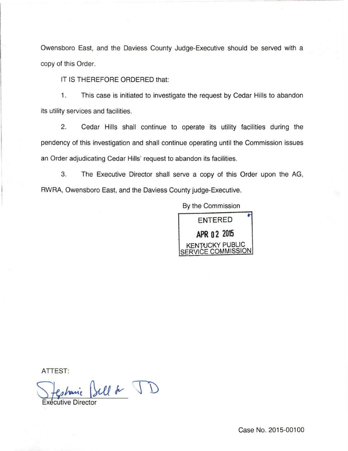Owensboro East, and the Daviess County Judge-Executive should be served with a copy of this Order.

IT IS THEREFORE ORDERED that:

1. This case is initiated to investigate the request by Cedar Hills to abandon its utility services and facilities.

2. Cedar Hills shall continue to operate its utility facilities during the pendency of this investigation and shall continue operating until the Commission issues an Order adjudicating Cedar Hills' request to abandon its facilities.

3. The Executive Director shall serve a copy of this Order upon the AG, RWRA, Owensboro East, and the Daviess County judge-Executive.

By the Commission



ATTEST:

mic Sell & JD Executive Director

Case No. 2015-00100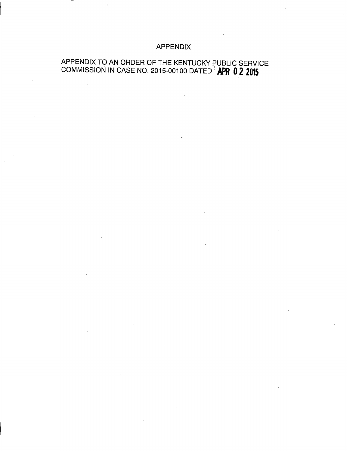## APPENDIX

# APPENDIX TO AN ORDER OF THE KENTUCKY PUBLIC SERVICE COMMISSION IN CASE NO. 2015-00100 DATED' **APR' 0 2 2015**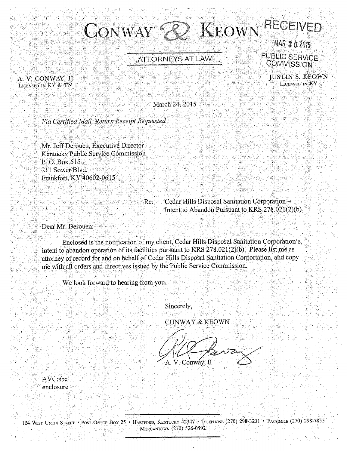

 $\sim$   $\sim$   $\sim$   $\sim$ 

A. V. CONWAY, II LICENSED IN KY & TN

ATTORNEYS AT LAW PUBLIC-SERVICE<br>COMMISSION

JUSTIN<sup>S</sup>. KEOWN.<br>Ligensed in Ky

March 24, 2015

Via Certified Mail, Return Receipt Requested

Mr. Jeff Derouen, Executive Director Kentucky Public Service Commission **P. O. Box 615**<br>211 Sower Blyd. Frankfort: KY 40602-0615

> Re: Cedar Hills Disposal Sanitation Corporation: Intent to Abandon Pursuant to  $KRS.278.021(2)(b)$ .

Dear Mr. Derouen:

Enclosed is the notification of my client, Cedar Hills Disposal Sanitation Corporation's, intent to abandon operation of its facilities pursuant to KRS 278.021(2)(b). Please list me as attorney of record for and on behalf of Cedar Hills Disposal Sanitation Corportation, and copy me with all orders and directives issued by the Public Service Commission. r i Andria 1960 et elle storia titula del campano el lega del control de l'antico el control del titula del 19

We look forward to hearing from you.

 $^{\mathrm{s}}$  .  $^{\mathrm{e}}$ 

Sincerely,

CONWAY & KEOWN

V. Conway, II  $A_{\cdot}$ 

'AVC:sbc enclosure

' . . .·

124: WEST UNION STREET • POST OFFICE BOX 25 • HARTFORD, KENTUCKY 42347 • TELEPHONE (270) 298-3231 • FACSIMILE (270) 298-7855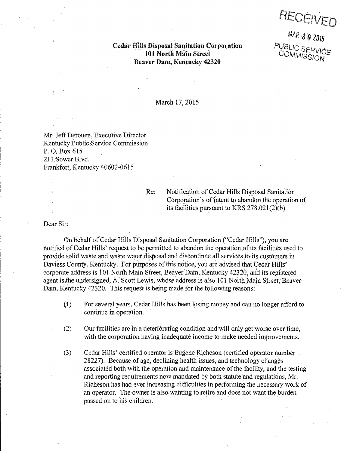RECEIVEL

MAR 3 0 2015<br>PUBLIC SERVICE

COMMISSION

**Cedar Hills Disposal Sanitation Corporation** 101 North Main Street· Beaver Dam, Kentucky 42320

March 17,2015

Mr. Jeff Derouen, Executive Director Kentucky Public Service Commission P. 0; Box615 2J 1 Sower Blvd. Frankfort, Kentucky 40602-0615

Re: Notification of Cedar Hills Disposal Sanitation Corporation's of intent to abandon the operation of its facilities pursuant to KRS 278.021 (2)(b)

Dear Sir:

------------~--------

On behalf of Cedar Hills Disposal Sanitation Corporation ("Cedar Hills"), you are notified of Cedar Hills' request to be permitted to abandon the operation of its facilities used to provide solid waste and waste water disposal and discontinue all services to its customers in Daviess County, Kentucky. For purposes of this notice, you are advised that Cedar Hills' corporate address is 101 North Main Street, Beaver Dam, Kentucky 42320, and its registered agent is the undersigned, A. Scott Lewis, whose address is also 101 North Main Street, Beaver Dam, Kentucky 42320. This request is being made for the following reasons:

- $(1)$  For several years, Cedar Hills has been losing money and can no longer afford to continue in operation.
	- $(2)$  Our facilities are in a deteriorating condition and will only get worse over time, with the corporation having inadequate income to make needed improvements.
	- (3) Cedar Hills' certified operator is Eugene Richeson (certified operator number. 28227). Because of age, declining health issues, and technology changes associated both with the operation and maintenance of the facility, and the testing and reporting requirements now mandated by both statute and regulations, Mr. Richeson has had ever increasing difficulties in performing the necessary work of an operator. The owner is also wanting to retire and does not want the burden passed on to his children.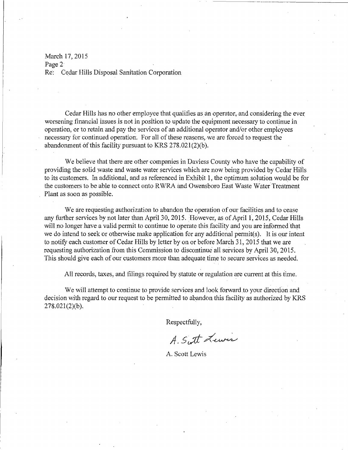March 17, 2015 Page 2<sup>-</sup> Re: Cedar Hills Disposal Sanitation Corporation

Cedar Hills has no other employee that qualifies as an operator, and considering the ever worsening financial issues is not in position to update the equipment necessary to continue in operation, or to retain and pay the services of an additional operator and/or other employees necessary for continued operation. For ali of these reasons, we are forced to request the abandonment of this facility pursuant to KRS  $278.021(2)(b)$ .

We believe that there are other companies in Daviess County who have the capability of providing the solid waste and waste water services which are now being provided by Cedar Hills to its customers. In additional, and as referenced in Exhibit 1, the optimum solution would be for the customers to be able to connect onto R\VRA and Owensboro East \Vaste Water Treatment Plant as soon as possible.

We are requesting authorization to abandon the operation of our facilities and to cease any further services by not later than April 30, 2015. However, as of April 1, 2015, Cedar Hills will no longer have a valid permit to continue to operate this facility and you are informed that we do intend to seek or otherwise make application for any additional permit(s). It is our intent to notify each customer of Cedar Hills by letter by on or before March 31, 2015 that we are requesting authorization from this Commission to discontinue all services by April 30, 2015. This should give each of our customers more than adequate time to secure services as needed.

All records, taxes, and filings required by statute or regulation are current at this time.

We will attempt to continue to provide services and look forward to your direction and decision with regard to our request to be permitted to abandon this facility as authorized by KRS 278.021(2)(b).

Respectfully,

A. Sutt Lewis

A. Scott Lewis